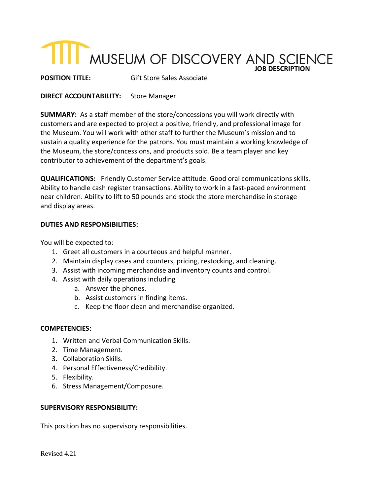# **TILL MUSEUM OF DISCOVERY AND SCIENCE**

**POSITION TITLE:** Gift Store Sales Associate

## **DIRECT ACCOUNTABILITY:** Store Manager

**SUMMARY:** As a staff member of the store/concessions you will work directly with customers and are expected to project a positive, friendly, and professional image for the Museum. You will work with other staff to further the Museum's mission and to sustain a quality experience for the patrons. You must maintain a working knowledge of the Museum, the store/concessions, and products sold. Be a team player and key contributor to achievement of the department's goals.

**QUALIFICATIONS:** Friendly Customer Service attitude. Good oral communications skills. Ability to handle cash register transactions. Ability to work in a fast-paced environment near children. Ability to lift to 50 pounds and stock the store merchandise in storage and display areas.

## **DUTIES AND RESPONSIBILITIES:**

You will be expected to:

- 1. Greet all customers in a courteous and helpful manner.
- 2. Maintain display cases and counters, pricing, restocking, and cleaning.
- 3. Assist with incoming merchandise and inventory counts and control.
- 4. Assist with daily operations including
	- a. Answer the phones.
	- b. Assist customers in finding items.
	- c. Keep the floor clean and merchandise organized.

## **COMPETENCIES:**

- 1. Written and Verbal Communication Skills.
- 2. Time Management.
- 3. Collaboration Skills.
- 4. Personal Effectiveness/Credibility.
- 5. Flexibility.
- 6. Stress Management/Composure.

## **SUPERVISORY RESPONSIBILITY:**

This position has no supervisory responsibilities.